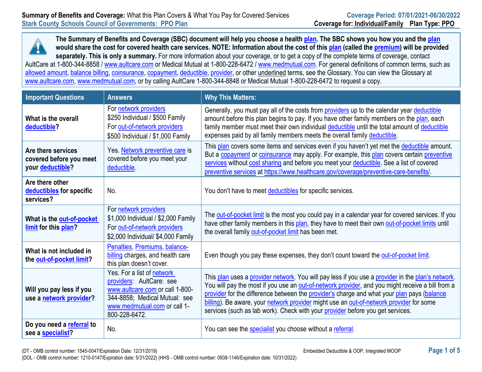**The Summary of Benefits and Coverage (SBC) document will help you choose a healt[h plan.](https://www.healthcare.gov/sbc-glossary/#plan) The SBC shows you how you and the [plan](https://www.healthcare.gov/sbc-glossary/#plan) would share the cost for covered health care services. NOTE: Information about the cost of this [plan](https://www.healthcare.gov/sbc-glossary/#plan) (called the [premium\)](https://www.healthcare.gov/sbc-glossary/#premium) will be provided separately. This is only a summary.** For more information about your coverage, or to get a copy of the complete terms of coverage, contact AultCare at 1-800-344-8858 / [www.aultcare.com](http://www.aultcare.com/) or Medical Mutual at 1-800-228-6472 / www.medmutual.com. For general definitions of common terms, such as [allowed amount,](https://www.healthcare.gov/sbc-glossary/#allowed-amount) [balance billing,](https://www.healthcare.gov/sbc-glossary/#balance-billing) [coinsurance,](https://www.healthcare.gov/sbc-glossary/#coinsurance) [copayment,](https://www.healthcare.gov/sbc-glossary/#copayment) [deductible,](https://www.healthcare.gov/sbc-glossary/#deductible) [provider,](https://www.healthcare.gov/sbc-glossary/#provider) or other underlined terms, see the Glossary. You can view the Glossary at [www.aultcare.com,](http://www.aultcare.com/) www.medmutual.com, or by calling AultCare 1-800-344-8848 or Medical Mutual 1-800-228-6472 to request a copy.

| <b>Important Questions</b>                                        | <b>Answers</b>                                                                                                                                                              | <b>Why This Matters:</b>                                                                                                                                                                                                                                                                                                                                                                                                                                                         |
|-------------------------------------------------------------------|-----------------------------------------------------------------------------------------------------------------------------------------------------------------------------|----------------------------------------------------------------------------------------------------------------------------------------------------------------------------------------------------------------------------------------------------------------------------------------------------------------------------------------------------------------------------------------------------------------------------------------------------------------------------------|
| What is the overall<br>deductible?                                | For network providers<br>\$250 Individual / \$500 Family<br>For out-of-network providers<br>\$500 Individual / \$1,000 Family                                               | Generally, you must pay all of the costs from providers up to the calendar year deductible<br>amount before this plan begins to pay. If you have other family members on the plan, each<br>family member must meet their own individual deductible until the total amount of deductible<br>expenses paid by all family members meets the overall family deductible.                                                                                                              |
| Are there services<br>covered before you meet<br>your deductible? | Yes. Network preventive care is<br>covered before you meet your<br>deductible.                                                                                              | This plan covers some items and services even if you haven't yet met the deductible amount.<br>But a copayment or coinsurance may apply. For example, this plan covers certain preventive<br>services without cost sharing and before you meet your deductible. See a list of covered<br>preventive services at https://www.healthcare.gov/coverage/preventive-care-benefits/.                                                                                                   |
| Are there other<br>deductibles for specific<br>services?          | No.                                                                                                                                                                         | You don't have to meet deductibles for specific services.                                                                                                                                                                                                                                                                                                                                                                                                                        |
| What is the out-of-pocket<br>limit for this plan?                 | For network providers<br>\$1,000 Individual / \$2,000 Family<br>For out-of-network providers<br>\$2,000 Individual/ \$4,000 Family                                          | The out-of-pocket limit is the most you could pay in a calendar year for covered services. If you<br>have other family members in this plan, they have to meet their own out-of-pocket limits until<br>the overall family out-of-pocket limit has been met.                                                                                                                                                                                                                      |
| What is not included in<br>the out-of-pocket limit?               | Penalties, Premiums, balance-<br>billing charges, and health care<br>this plan doesn't cover.                                                                               | Even though you pay these expenses, they don't count toward the out-of-pocket limit.                                                                                                                                                                                                                                                                                                                                                                                             |
| Will you pay less if you<br>use a network provider?               | Yes. For a list of network<br>providers: AultCare: see<br>www.aultcare.com or call 1-800-<br>344-8858; Medical Mutual: see<br>www.medmutual.com or call 1-<br>800-228-6472. | This plan uses a provider network. You will pay less if you use a provider in the plan's network.<br>You will pay the most if you use an out-of-network provider, and you might receive a bill from a<br>provider for the difference between the provider's charge and what your plan pays (balance<br>billing). Be aware, your network provider might use an out-of-network provider for some<br>services (such as lab work). Check with your provider before you get services. |
| Do you need a referral to<br>see a specialist?                    | No.                                                                                                                                                                         | You can see the specialist you choose without a referral.                                                                                                                                                                                                                                                                                                                                                                                                                        |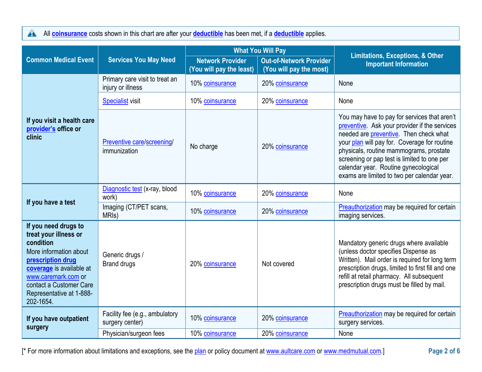All **[coinsurance](https://www.healthcare.gov/sbc-glossary/#coinsurance)** costs shown in this chart are after your **[deductible](https://www.healthcare.gov/sbc-glossary/#deductible)** has been met, if a **deductible** applies.

|                                                                                                                                                                                                                                  |                                                     | <b>What You Will Pay</b>                            |                                                           | <b>Limitations, Exceptions, &amp; Other</b>                                                                                                                                                                                                                                                                                                                              |  |
|----------------------------------------------------------------------------------------------------------------------------------------------------------------------------------------------------------------------------------|-----------------------------------------------------|-----------------------------------------------------|-----------------------------------------------------------|--------------------------------------------------------------------------------------------------------------------------------------------------------------------------------------------------------------------------------------------------------------------------------------------------------------------------------------------------------------------------|--|
| <b>Common Medical Event</b>                                                                                                                                                                                                      | <b>Services You May Need</b>                        | <b>Network Provider</b><br>(You will pay the least) | <b>Out-of-Network Provider</b><br>(You will pay the most) | <b>Important Information</b>                                                                                                                                                                                                                                                                                                                                             |  |
|                                                                                                                                                                                                                                  | Primary care visit to treat an<br>injury or illness | 10% coinsurance                                     | 20% coinsurance                                           | None                                                                                                                                                                                                                                                                                                                                                                     |  |
|                                                                                                                                                                                                                                  | <b>Specialist visit</b>                             | 10% coinsurance                                     | 20% coinsurance                                           | None                                                                                                                                                                                                                                                                                                                                                                     |  |
| If you visit a health care<br>provider's office or<br>clinic                                                                                                                                                                     | Preventive care/screening/<br>immunization          | No charge                                           | 20% coinsurance                                           | You may have to pay for services that aren't<br>preventive. Ask your provider if the services<br>needed are preventive. Then check what<br>your plan will pay for. Coverage for routine<br>physicals, routine mammograms, prostate<br>screening or pap test is limited to one per<br>calendar year. Routine gynecological<br>exams are limited to two per calendar year. |  |
|                                                                                                                                                                                                                                  | Diagnostic test (x-ray, blood<br>work)              | 10% coinsurance                                     | 20% coinsurance                                           | None                                                                                                                                                                                                                                                                                                                                                                     |  |
| If you have a test                                                                                                                                                                                                               | Imaging (CT/PET scans,<br>MRI <sub>s</sub> )        | 10% coinsurance                                     | 20% coinsurance                                           | <b>Preauthorization</b> may be required for certain<br>imaging services.                                                                                                                                                                                                                                                                                                 |  |
| If you need drugs to<br>treat your illness or<br>condition<br>More information about<br>prescription drug<br>coverage is available at<br>www.caremark.com or<br>contact a Customer Care<br>Representative at 1-888-<br>202-1654. | Generic drugs /<br><b>Brand drugs</b>               | 20% coinsurance                                     | Not covered                                               | Mandatory generic drugs where available<br>(unless doctor specifies Dispense as<br>Written). Mail order is required for long term<br>prescription drugs, limited to first fill and one<br>refill at retail pharmacy. All subsequent<br>prescription drugs must be filled by mail.                                                                                        |  |
| If you have outpatient                                                                                                                                                                                                           | Facility fee (e.g., ambulatory<br>surgery center)   | 10% coinsurance                                     | 20% coinsurance                                           | Preauthorization may be required for certain<br>surgery services.                                                                                                                                                                                                                                                                                                        |  |
| surgery                                                                                                                                                                                                                          | Physician/surgeon fees                              | 10% coinsurance                                     | 20% coinsurance                                           | None                                                                                                                                                                                                                                                                                                                                                                     |  |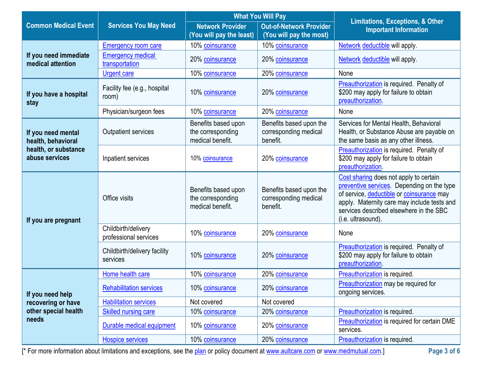|                                            |                                              |                                                              | <b>What You Will Pay</b>                                     | <b>Limitations, Exceptions, &amp; Other</b>                                                                                                                                                                                                       |  |
|--------------------------------------------|----------------------------------------------|--------------------------------------------------------------|--------------------------------------------------------------|---------------------------------------------------------------------------------------------------------------------------------------------------------------------------------------------------------------------------------------------------|--|
| <b>Common Medical Event</b>                | <b>Services You May Need</b>                 | <b>Network Provider</b><br>(You will pay the least)          | <b>Out-of-Network Provider</b><br>(You will pay the most)    | <b>Important Information</b>                                                                                                                                                                                                                      |  |
|                                            | <b>Emergency room care</b>                   | 10% coinsurance                                              | 10% coinsurance                                              | Network deductible will apply.                                                                                                                                                                                                                    |  |
| If you need immediate<br>medical attention | <b>Emergency medical</b><br>transportation   | 20% coinsurance                                              | 20% coinsurance                                              | Network deductible will apply.                                                                                                                                                                                                                    |  |
|                                            | <b>Urgent care</b>                           | 10% coinsurance                                              | 20% coinsurance                                              | None                                                                                                                                                                                                                                              |  |
| If you have a hospital<br>stay             | Facility fee (e.g., hospital<br>room)        | 10% coinsurance                                              | 20% coinsurance                                              | <b>Preauthorization</b> is required. Penalty of<br>\$200 may apply for failure to obtain<br>preauthorization.                                                                                                                                     |  |
|                                            | Physician/surgeon fees                       | 10% coinsurance                                              | 20% coinsurance                                              | None                                                                                                                                                                                                                                              |  |
| If you need mental<br>health, behavioral   | <b>Outpatient services</b>                   | Benefits based upon<br>the corresponding<br>medical benefit. | Benefits based upon the<br>corresponding medical<br>benefit. | Services for Mental Health, Behavioral<br>Health, or Substance Abuse are payable on<br>the same basis as any other illness.                                                                                                                       |  |
| health, or substance<br>abuse services     | Inpatient services                           | 10% coinsurance                                              | 20% coinsurance                                              | Preauthorization is required. Penalty of<br>\$200 may apply for failure to obtain<br>preauthorization.                                                                                                                                            |  |
| If you are pregnant                        | Office visits                                | Benefits based upon<br>the corresponding<br>medical benefit. | Benefits based upon the<br>corresponding medical<br>benefit. | Cost sharing does not apply to certain<br>preventive services. Depending on the type<br>of service, deductible or coinsurance may<br>apply. Maternity care may include tests and<br>services described elsewhere in the SBC<br>(i.e. ultrasound). |  |
|                                            | Childbirth/delivery<br>professional services | 10% coinsurance                                              | 20% coinsurance                                              | None                                                                                                                                                                                                                                              |  |
|                                            | Childbirth/delivery facility<br>services     | 10% coinsurance                                              | 20% coinsurance                                              | Preauthorization is required. Penalty of<br>\$200 may apply for failure to obtain<br>preauthorization                                                                                                                                             |  |
|                                            | Home health care                             | 10% coinsurance                                              | 20% coinsurance                                              | Preauthorization is required.                                                                                                                                                                                                                     |  |
| If you need help                           | <b>Rehabilitation services</b>               | 10% coinsurance                                              | 20% coinsurance                                              | Preauthorization may be required for<br>ongoing services.                                                                                                                                                                                         |  |
| recovering or have                         | <b>Habilitation services</b>                 | Not covered                                                  | Not covered                                                  |                                                                                                                                                                                                                                                   |  |
| other special health                       | <b>Skilled nursing care</b>                  | 10% coinsurance                                              | 20% coinsurance                                              | Preauthorization is required.                                                                                                                                                                                                                     |  |
| needs                                      | Durable medical equipment                    | 10% coinsurance                                              | 20% coinsurance                                              | Preauthorization is required for certain DME<br>services.                                                                                                                                                                                         |  |
|                                            | <b>Hospice services</b>                      | 10% coinsurance                                              | 20% coinsurance                                              | Preauthorization is required.                                                                                                                                                                                                                     |  |

[\* For more information about limitations and exceptions, see the [plan](https://www.healthcare.gov/sbc-glossary/#plan) or policy document at [www.aultcare.com](http://www.aultcare.com/) or www.medmutual.com.] **Page 3 of 6**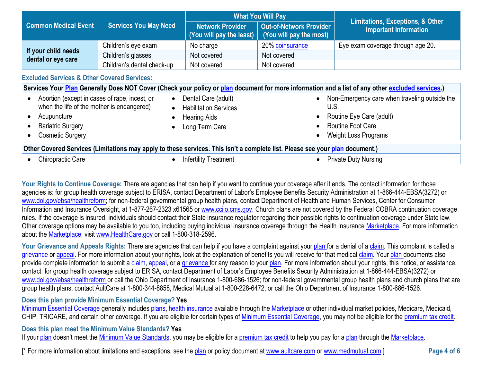|                                           |                              | <b>What You Will Pay</b>                                          |                                                    |                                                                             |  |
|-------------------------------------------|------------------------------|-------------------------------------------------------------------|----------------------------------------------------|-----------------------------------------------------------------------------|--|
| <b>Common Medical Event</b>               | <b>Services You May Need</b> | <b>Network Provider</b><br>$\mid$ (You will pay the least) $\mid$ | Out-of-Network Provider<br>(You will pay the most) | <b>Limitations, Exceptions, &amp; Other</b><br><b>Important Information</b> |  |
|                                           | Children's eye exam          | No charge                                                         | 20% coinsurance                                    | Eye exam coverage through age 20.                                           |  |
| If your child needs<br>dental or eye care | Children's glasses           | Not covered                                                       | Not covered                                        |                                                                             |  |
|                                           | Children's dental check-up   | Not covered                                                       | Not covered                                        |                                                                             |  |

## **Excluded Services & Other Covered Services:**

|                                                                                                                                                                   |                                                                                              | Services Your Plan Generally Does NOT Cover (Check your policy or plan document for more information and a list of any other excluded services.)          |
|-------------------------------------------------------------------------------------------------------------------------------------------------------------------|----------------------------------------------------------------------------------------------|-----------------------------------------------------------------------------------------------------------------------------------------------------------|
| Abortion (except in cases of rape, incest, or<br>when the life of the mother is endangered)<br>Acupuncture<br><b>Bariatric Surgery</b><br><b>Cosmetic Surgery</b> | Dental Care (adult)<br><b>Habilitation Services</b><br><b>Hearing Aids</b><br>Long Term Care | Non-Emergency care when traveling outside the<br>$\bullet$<br>U.S.<br>Routine Eye Care (adult)<br><b>Routine Foot Care</b><br><b>Weight Loss Programs</b> |
| Other Covered Services (Limitations may apply to these services. This isn't a complete list. Please see your plan document.)                                      |                                                                                              |                                                                                                                                                           |
| <b>Chiropractic Care</b>                                                                                                                                          | <b>Infertility Treatment</b>                                                                 | <b>Private Duty Nursing</b>                                                                                                                               |

Your Rights to Continue Coverage: There are agencies that can help if you want to continue your coverage after it ends. The contact information for those agencies is: for group health coverage subject to ERISA, contact Department of Labor's Employee Benefits Security Administration at 1-866-444-EBSA(3272) or [www.dol.gov/ebsa/healthreform;](http://www.dol.gov/ebsa/healthreform) for non-federal governmental group health plans, contact Department of Health and Human Services, Center for Consumer Information and Insurance Oversight, at 1-877-267-2323 x61565 or [www.cciio.cms.gov.](http://www.cciio.cms.gov/) Church plans are not covered by the Federal COBRA continuation coverage rules. If the coverage is insured, individuals should contact their State insurance regulator regarding their possible rights to continuation coverage under State law. Other coverage options may be available to you too, including buying individual insurance coverage through the Health Insurance [Marketplace. F](https://www.healthcare.gov/sbc-glossary/#marketplace)or more information about the [Marketplace, v](https://www.healthcare.gov/sbc-glossary/#marketplace)isit [www.HealthCare.gov o](http://www.healthcare.gov/)r call 1-800-318-2596.

Your Grievance and Appeals Rights: There are agencies that can help if you have a complaint against your plan for a denial of a claim. This complaint is called a grievance or appeal. For more information about your rights, look at the explanation of benefits you will receive for that medical claim. Your plan documents also provide complete information to submit a claim, appeal, or a grievance for any reason to your plan. For more information about your rights, this notice, or assistance, contact: for group health coverage subject to ERISA, contact Department of Labor's Employee Benefits Security Administration at 1-866-444-EBSA(3272) or [www.dol.gov/ebsa/healthreform o](http://www.dol.gov/ebsa/healthreform)r call the Ohio Department of Insurance 1-800-686-1526; for non-federal governmental group health plans and church plans that are group health plans, contact AultCare at 1-800-344-8858, Medical Mutual at 1-800-228-6472, or call the Ohio Department of Insurance 1-800-686-1526.

# **Does this plan provide Minimum Essential Coverage? Yes**

[Minimum Essential Coverage](https://www.healthcare.gov/sbc-glossary/#minimum-essential-coverage) generally includes [plans,](https://www.healthcare.gov/sbc-glossary/#plan) [health insurance](https://www.healthcare.gov/sbc-glossary/#health-insurance) available through the [Marketplace](https://www.healthcare.gov/sbc-glossary/#marketplace) or other individual market policies, Medicare, Medicaid, CHIP, TRICARE, and certain other coverage. If you are eligible for certain types of [Minimum Essential Coverage,](https://www.healthcare.gov/sbc-glossary/#minimum-essential-coverage) you may not be eligible for the [premium tax credit.](https://www.healthcare.gov/sbc-glossary/#premium-tax-credits)

## **Does this plan meet the Minimum Value Standards? Yes**

If your [plan](https://www.healthcare.gov/sbc-glossary/#plan) doesn't meet the [Minimum Value Standards,](https://www.healthcare.gov/sbc-glossary/#minimum-value-standard) you may be eligible for a [premium tax credit](https://www.healthcare.gov/sbc-glossary/#premium-tax-credits) to help you pay for a plan through the [Marketplace.](https://www.healthcare.gov/sbc-glossary/#marketplace)

[\* For more information about limitations and exceptions, see the [plan](https://www.healthcare.gov/sbc-glossary/#plan) or policy document at [www.aultcare.com](http://www.aultcare.com/) or www.medmutual.com.] **Page 4 of 6**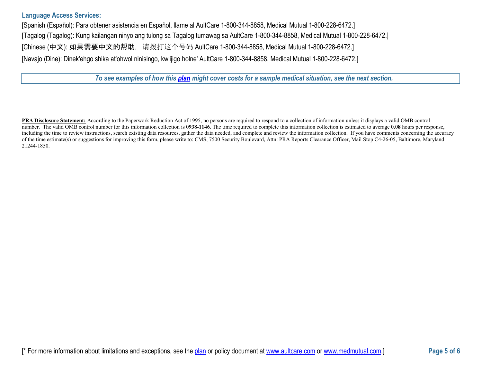## **Language Access Services:**

[Spanish (Español): Para obtener asistencia en Español, llame al AultCare 1-800-344-8858, Medical Mutual 1-800-228-6472.] [Tagalog (Tagalog): Kung kailangan ninyo ang tulong sa Tagalog tumawag sa AultCare 1-800-344-8858, Medical Mutual 1-800-228-6472.] [Chinese (中文): 如果需要中文的帮助, 请拨打这个号码 AultCare 1-800-344-8858, Medical Mutual 1-800-228-6472.] [Navajo (Dine): Dinek'ehgo shika at'ohwol ninisingo, kwiijigo holne' AultCare 1-800-344-8858, Medical Mutual 1-800-228-6472.]

*To see examples of how this [plan](https://www.healthcare.gov/sbc-glossary/#plan) might cover costs for a sample medical situation, see the next section.*

**PRA Disclosure Statement:** According to the Paperwork Reduction Act of 1995, no persons are required to respond to a collection of information unless it displays a valid OMB control number. The valid OMB control number for this information collection is **0938-1146**. The time required to complete this information collection is estimated to average **0.08** hours per response, including the time to review instructions, search existing data resources, gather the data needed, and complete and review the information collection. If you have comments concerning the accuracy of the time estimate(s) or suggestions for improving this form, please write to: CMS, 7500 Security Boulevard, Attn: PRA Reports Clearance Officer, Mail Stop C4-26-05, Baltimore, Maryland 21244-1850.